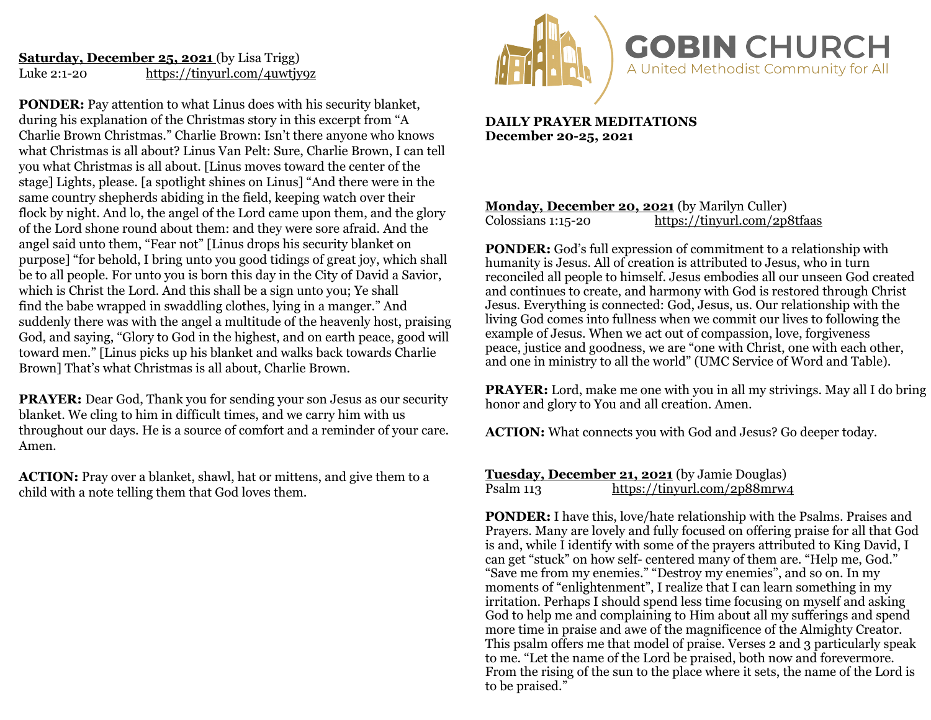# **Saturday, December 25, 2021** (by Lisa Trigg) Luke 2:1-20 <https://tinyurl.com/4uwtjy9z>

**PONDER:** Pay attention to what Linus does with his security blanket, during his explanation of the Christmas story in this excerpt from "A Charlie Brown Christmas." Charlie Brown: Isn't there anyone who knows what Christmas is all about? Linus Van Pelt: Sure, Charlie Brown, I can tell you what Christmas is all about. [Linus moves toward the center of the stage] Lights, please. [a spotlight shines on Linus] "And there were in the same country shepherds abiding in the field, keeping watch over their flock by night. And lo, the angel of the Lord came upon them, and the glory of the Lord shone round about them: and they were sore afraid. And the angel said unto them, "Fear not" [Linus drops his security blanket on purpose] "for behold, I bring unto you good tidings of great joy, which shall be to all people. For unto you is born this day in the City of David a Savior, which is Christ the Lord. And this shall be a sign unto you; Ye shall find the babe wrapped in swaddling clothes, lying in a manger." And suddenly there was with the angel a multitude of the heavenly host, praising God, and saying, "Glory to God in the highest, and on earth peace, good will toward men." [Linus picks up his blanket and walks back towards Charlie Brown] That's what Christmas is all about, Charlie Brown.

**PRAYER:** Dear God, Thank you for sending your son Jesus as our security blanket. We cling to him in difficult times, and we carry him with us throughout our days. He is a source of comfort and a reminder of your care. Amen.

**ACTION:** Pray over a blanket, shawl, hat or mittens, and give them to a child with a note telling them that God loves them.



**DAILY PRAYER MEDITATIONS December 20-25, 2021**

## **Monday, December 20, 2021** (by Marilyn Culler)<br>Colossians 1:15-20 https://tinyurl.com/2p <https://tinyurl.com/2p8tfaas>

**PONDER:** God's full expression of commitment to a relationship with humanity is Jesus. All of creation is attributed to Jesus, who in turn reconciled all people to himself. Jesus embodies all our unseen God created and continues to create, and harmony with God is restored through Christ Jesus. Everything is connected: God, Jesus, us. Our relationship with the living God comes into fullness when we commit our lives to following the example of Jesus. When we act out of compassion, love, forgiveness peace, justice and goodness, we are "one with Christ, one with each other, and one in ministry to all the world" (UMC Service of Word and Table).

**PRAYER:** Lord, make me one with you in all my strivings. May all I do bring honor and glory to You and all creation. Amen.

**ACTION:** What connects you with God and Jesus? Go deeper today.

**Tuesday, December 21, 2021** (by Jamie Douglas)<br>Psalm 113 https://tinvurl.com/2p88mrw. <https://tinyurl.com/2p88mrw4>

**PONDER:** I have this, love/hate relationship with the Psalms. Praises and Prayers. Many are lovely and fully focused on offering praise for all that God is and, while I identify with some of the prayers attributed to King David. I can get "stuck" on how self- centered many of them are. "Help me, God." "Save me from my enemies." "Destroy my enemies", and so on. In my moments of "enlightenment", I realize that I can learn something in my irritation. Perhaps I should spend less time focusing on myself and asking God to help me and complaining to Him about all my sufferings and spend more time in praise and awe of the magnificence of the Almighty Creator. This psalm offers me that model of praise. Verses 2 and 3 particularly speak to me. "Let the name of the Lord be praised, both now and forevermore. From the rising of the sun to the place where it sets, the name of the Lord is to be praised."